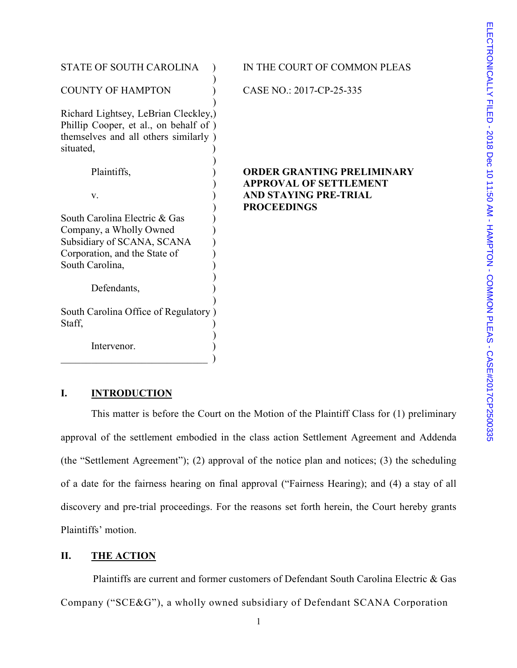| STATE OF SOUTH CAROLINA                                                                                                             | Ռ                        |
|-------------------------------------------------------------------------------------------------------------------------------------|--------------------------|
| <b>COUNTY OF HAMPTON</b>                                                                                                            | 3.                       |
| Richard Lightsey, LeBrian Cleckley,)<br>Phillip Cooper, et al., on behalf of )<br>themselves and all others similarly)<br>situated, |                          |
|                                                                                                                                     |                          |
| Plaintiffs,                                                                                                                         | 0                        |
| V.                                                                                                                                  | $\mathbf{A}$<br>$\bf{P}$ |
| South Carolina Electric & Gas<br>Company, a Wholly Owned                                                                            |                          |
| Subsidiary of SCANA, SCANA                                                                                                          |                          |
| Corporation, and the State of<br>South Carolina,                                                                                    |                          |
| Defendants,                                                                                                                         |                          |
| South Carolina Office of Regulatory<br>Staff,                                                                                       |                          |
| Intervenor.                                                                                                                         |                          |
|                                                                                                                                     |                          |

# **STATE COURT OF COMMON PLEAS**

ASE NO.: 2017-CP-25-335

**RDER GRANTING PRELIMINARY** ) **APPROVAL OF SETTLEMENT ND STAYING PRE-TRIAL** ) **PROCEEDINGS**

## **I. INTRODUCTION**

This matter is before the Court on the Motion of the Plaintiff Class for (1) preliminary approval of the settlement embodied in the class action Settlement Agreement and Addenda (the "Settlement Agreement"); (2) approval of the notice plan and notices; (3) the scheduling of a date for the fairness hearing on final approval ("Fairness Hearing); and (4) a stay of all discovery and pre-trial proceedings. For the reasons set forth herein, the Court hereby grants Plaintiffs' motion.

# **II. THE ACTION**

Plaintiffs are current and former customers of Defendant South Carolina Electric & Gas Company ("SCE&G"), a wholly owned subsidiary of Defendant SCANA Corporation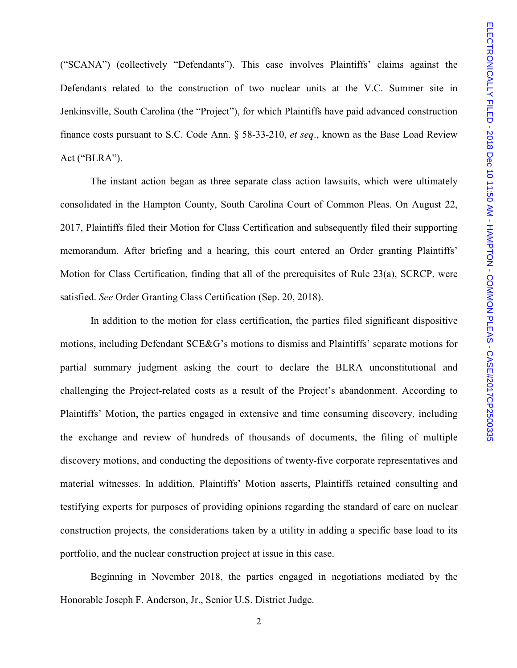("SCANA") (collectively "Defendants"). This case involves Plaintiffs' claims against the Defendants related to the construction of two nuclear units at the V.C. Summer site in Jenkinsville, South Carolina (the "Project"), for which Plaintiffs have paid advanced construction finance costs pursuant to S.C. Code Ann. § 58-33-210, *et seq*., known as the Base Load Review Act ("BLRA").

The instant action began as three separate class action lawsuits, which were ultimately consolidated in the Hampton County, South Carolina Court of Common Pleas. On August 22, 2017, Plaintiffs filed their Motion for Class Certification and subsequently filed their supporting memorandum. After briefing and a hearing, this court entered an Order granting Plaintiffs' Motion for Class Certification, finding that all of the prerequisites of Rule 23(a), SCRCP, were satisfied. *See* Order Granting Class Certification (Sep. 20, 2018).

In addition to the motion for class certification, the parties filed significant dispositive motions, including Defendant SCE&G's motions to dismiss and Plaintiffs' separate motions for partial summary judgment asking the court to declare the BLRA unconstitutional and challenging the Project-related costs as a result of the Project's abandonment. According to Plaintiffs' Motion, the parties engaged in extensive and time consuming discovery, including the exchange and review of hundreds of thousands of documents, the filing of multiple discovery motions, and conducting the depositions of twenty-five corporate representatives and material witnesses. In addition, Plaintiffs' Motion asserts, Plaintiffs retained consulting and testifying experts for purposes of providing opinions regarding the standard of care on nuclear construction projects, the considerations taken by a utility in adding a specific base load to its portfolio, and the nuclear construction project at issue in this case.

Beginning in November 2018, the parties engaged in negotiations mediated by the Honorable Joseph F. Anderson, Jr., Senior U.S. District Judge.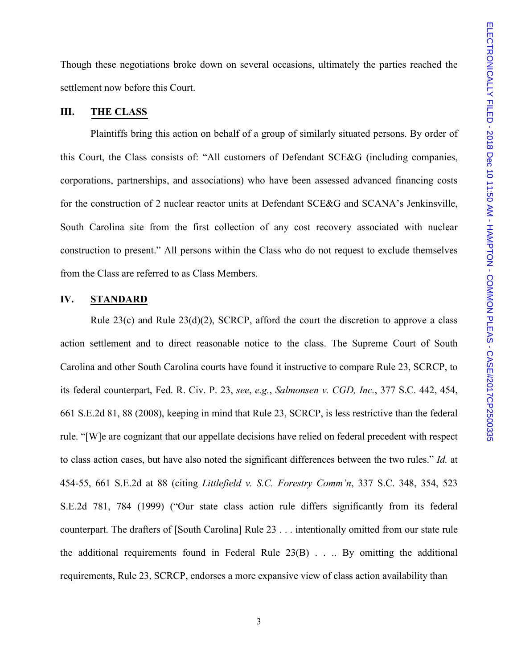Though these negotiations broke down on several occasions, ultimately the parties reached the settlement now before this Court.

## **III. THE CLASS**

Plaintiffs bring this action on behalf of a group of similarly situated persons. By order of this Court, the Class consists of: "All customers of Defendant SCE&G (including companies, corporations, partnerships, and associations) who have been assessed advanced financing costs for the construction of 2 nuclear reactor units at Defendant SCE&G and SCANA's Jenkinsville, South Carolina site from the first collection of any cost recovery associated with nuclear construction to present." All persons within the Class who do not request to exclude themselves from the Class are referred to as Class Members.

### **IV. STANDARD**

Rule  $23(c)$  and Rule  $23(d)(2)$ , SCRCP, afford the court the discretion to approve a class action settlement and to direct reasonable notice to the class. The Supreme Court of South Carolina and other South Carolina courts have found it instructive to compare Rule 23, SCRCP, to its federal counterpart, Fed. R. Civ. P. 23, *see*, *e.g.*, *Salmonsen v. CGD, Inc.*, 377 S.C. 442, 454, 661 S.E.2d 81, 88 (2008), keeping in mind that Rule 23, SCRCP, is less restrictive than the federal rule. "[W]e are cognizant that our appellate decisions have relied on federal precedent with respect to class action cases, but have also noted the significant differences between the two rules." *Id.* at 454-55, 661 S.E.2d at 88 (citing *Littlefield v. S.C. Forestry Comm'n*, 337 S.C. 348, 354, 523 S.E.2d 781, 784 (1999) ("Our state class action rule differs significantly from its federal counterpart. The drafters of [South Carolina] Rule 23 . . . intentionally omitted from our state rule the additional requirements found in Federal Rule 23(B) . . .. By omitting the additional requirements, Rule 23, SCRCP, endorses a more expansive view of class action availability than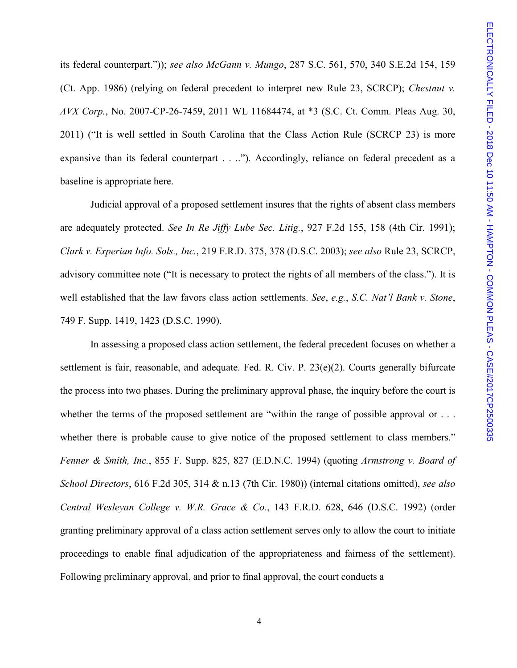its federal counterpart.")); *see also McGann v. Mungo*, 287 S.C. 561, 570, 340 S.E.2d 154, 159 (Ct. App. 1986) (relying on federal precedent to interpret new Rule 23, SCRCP); *Chestnut v. AVX Corp.*, No. 2007-CP-26-7459, 2011 WL 11684474, at \*3 (S.C. Ct. Comm. Pleas Aug. 30, 2011) ("It is well settled in South Carolina that the Class Action Rule (SCRCP 23) is more expansive than its federal counterpart . . .."). Accordingly, reliance on federal precedent as a baseline is appropriate here.

Judicial approval of a proposed settlement insures that the rights of absent class members are adequately protected. *See In Re Jiffy Lube Sec. Litig.*, 927 F.2d 155, 158 (4th Cir. 1991); *Clark v. Experian Info. Sols., Inc.*, 219 F.R.D. 375, 378 (D.S.C. 2003); *see also* Rule 23, SCRCP, advisory committee note ("It is necessary to protect the rights of all members of the class."). It is well established that the law favors class action settlements. *See*, *e.g.*, *S.C. Nat'l Bank v. Stone*, 749 F. Supp. 1419, 1423 (D.S.C. 1990).

In assessing a proposed class action settlement, the federal precedent focuses on whether a settlement is fair, reasonable, and adequate. Fed. R. Civ. P. 23(e)(2). Courts generally bifurcate the process into two phases. During the preliminary approval phase, the inquiry before the court is whether the terms of the proposed settlement are "within the range of possible approval or . . . whether there is probable cause to give notice of the proposed settlement to class members." *Fenner & Smith, Inc.*, 855 F. Supp. 825, 827 (E.D.N.C. 1994) (quoting *Armstrong v. Board of School Directors*, 616 F.2d 305, 314 & n.13 (7th Cir. 1980)) (internal citations omitted), *see also Central Wesleyan College v. W.R. Grace & Co.*, 143 F.R.D. 628, 646 (D.S.C. 1992) (order granting preliminary approval of a class action settlement serves only to allow the court to initiate proceedings to enable final adjudication of the appropriateness and fairness of the settlement). Following preliminary approval, and prior to final approval, the court conducts a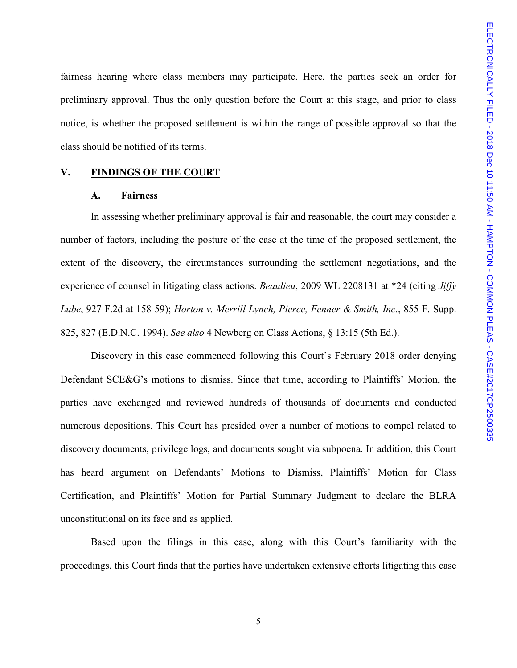fairness hearing where class members may participate. Here, the parties seek an order for preliminary approval. Thus the only question before the Court at this stage, and prior to class notice, is whether the proposed settlement is within the range of possible approval so that the class should be notified of its terms.

## **V. FINDINGS OF THE COURT**

#### **A. Fairness**

In assessing whether preliminary approval is fair and reasonable, the court may consider a number of factors, including the posture of the case at the time of the proposed settlement, the extent of the discovery, the circumstances surrounding the settlement negotiations, and the experience of counsel in litigating class actions. *Beaulieu*, 2009 WL 2208131 at \*24 (citing *Jiffy Lube*, 927 F.2d at 158-59); *Horton v. Merrill Lynch, Pierce, Fenner & Smith, Inc.*, 855 F. Supp. 825, 827 (E.D.N.C. 1994). *See also* 4 Newberg on Class Actions, § 13:15 (5th Ed.).

Discovery in this case commenced following this Court's February 2018 order denying Defendant SCE&G's motions to dismiss. Since that time, according to Plaintiffs' Motion, the parties have exchanged and reviewed hundreds of thousands of documents and conducted numerous depositions. This Court has presided over a number of motions to compel related to discovery documents, privilege logs, and documents sought via subpoena. In addition, this Court has heard argument on Defendants' Motions to Dismiss, Plaintiffs' Motion for Class Certification, and Plaintiffs' Motion for Partial Summary Judgment to declare the BLRA unconstitutional on its face and as applied.

Based upon the filings in this case, along with this Court's familiarity with the proceedings, this Court finds that the parties have undertaken extensive efforts litigating this case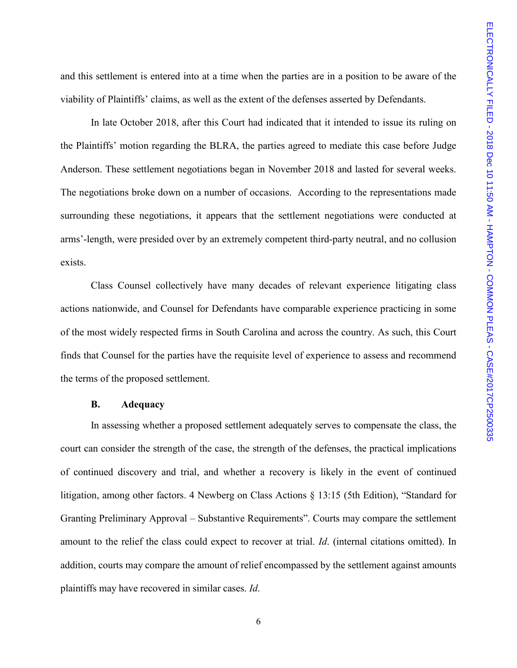and this settlement is entered into at a time when the parties are in a position to be aware of the viability of Plaintiffs' claims, as well as the extent of the defenses asserted by Defendants.

In late October 2018, after this Court had indicated that it intended to issue its ruling on the Plaintiffs' motion regarding the BLRA, the parties agreed to mediate this case before Judge Anderson. These settlement negotiations began in November 2018 and lasted for several weeks. The negotiations broke down on a number of occasions. According to the representations made surrounding these negotiations, it appears that the settlement negotiations were conducted at arms'-length, were presided over by an extremely competent third-party neutral, and no collusion exists.

Class Counsel collectively have many decades of relevant experience litigating class actions nationwide, and Counsel for Defendants have comparable experience practicing in some of the most widely respected firms in South Carolina and across the country. As such, this Court finds that Counsel for the parties have the requisite level of experience to assess and recommend the terms of the proposed settlement.

## **B. Adequacy**

In assessing whether a proposed settlement adequately serves to compensate the class, the court can consider the strength of the case, the strength of the defenses, the practical implications of continued discovery and trial, and whether a recovery is likely in the event of continued litigation, among other factors. 4 Newberg on Class Actions § 13:15 (5th Edition), "Standard for Granting Preliminary Approval – Substantive Requirements". Courts may compare the settlement amount to the relief the class could expect to recover at trial. *Id*. (internal citations omitted). In addition, courts may compare the amount of relief encompassed by the settlement against amounts plaintiffs may have recovered in similar cases. *Id*.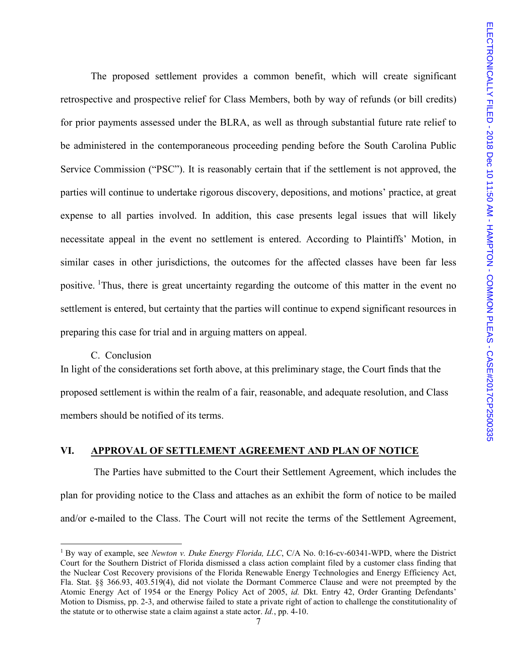The proposed settlement provides a common benefit, which will create significant retrospective and prospective relief for Class Members, both by way of refunds (or bill credits) for prior payments assessed under the BLRA, as well as through substantial future rate relief to be administered in the contemporaneous proceeding pending before the South Carolina Public Service Commission ("PSC"). It is reasonably certain that if the settlement is not approved, the parties will continue to undertake rigorous discovery, depositions, and motions' practice, at great expense to all parties involved. In addition, this case presents legal issues that will likely necessitate appeal in the event no settlement is entered. According to Plaintiffs' Motion, in similar cases in other jurisdictions, the outcomes for the affected classes have been far less positive. <sup>1</sup>Thus, there is great uncertainty regarding the outcome of this matter in the event no settlement is entered, but certainty that the parties will continue to expend significant resources in preparing this case for trial and in arguing matters on appeal.

#### C. Conclusion

 $\overline{a}$ 

In light of the considerations set forth above, at this preliminary stage, the Court finds that the proposed settlement is within the realm of a fair, reasonable, and adequate resolution, and Class members should be notified of its terms.

# **VI. APPROVAL OF SETTLEMENT AGREEMENT AND PLAN OF NOTICE**

The Parties have submitted to the Court their Settlement Agreement, which includes the plan for providing notice to the Class and attaches as an exhibit the form of notice to be mailed and/or e-mailed to the Class. The Court will not recite the terms of the Settlement Agreement,

<sup>&</sup>lt;sup>1</sup> By way of example, see *Newton v. Duke Energy Florida, LLC*, C/A No. 0:16-cv-60341-WPD, where the District Court for the Southern District of Florida dismissed a class action complaint filed by a customer class finding that the Nuclear Cost Recovery provisions of the Florida Renewable Energy Technologies and Energy Efficiency Act, Fla. Stat. §§ 366.93, 403.519(4), did not violate the Dormant Commerce Clause and were not preempted by the Atomic Energy Act of 1954 or the Energy Policy Act of 2005, *id.* Dkt. Entry 42, Order Granting Defendants' Motion to Dismiss, pp. 2-3, and otherwise failed to state a private right of action to challenge the constitutionality of the statute or to otherwise state a claim against a state actor. *Id.*, pp. 4-10.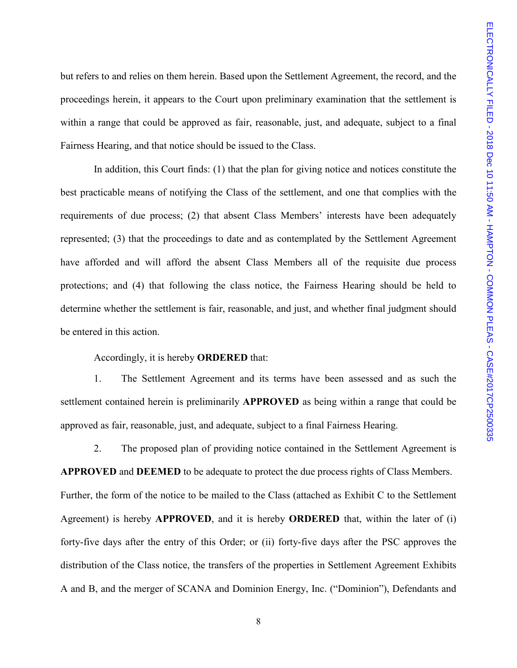but refers to and relies on them herein. Based upon the Settlement Agreement, the record, and the proceedings herein, it appears to the Court upon preliminary examination that the settlement is within a range that could be approved as fair, reasonable, just, and adequate, subject to a final Fairness Hearing, and that notice should be issued to the Class.

In addition, this Court finds: (1) that the plan for giving notice and notices constitute the best practicable means of notifying the Class of the settlement, and one that complies with the requirements of due process; (2) that absent Class Members' interests have been adequately represented; (3) that the proceedings to date and as contemplated by the Settlement Agreement have afforded and will afford the absent Class Members all of the requisite due process protections; and (4) that following the class notice, the Fairness Hearing should be held to determine whether the settlement is fair, reasonable, and just, and whether final judgment should be entered in this action.

Accordingly, it is hereby **ORDERED** that:

1. The Settlement Agreement and its terms have been assessed and as such the settlement contained herein is preliminarily **APPROVED** as being within a range that could be approved as fair, reasonable, just, and adequate, subject to a final Fairness Hearing.

2. The proposed plan of providing notice contained in the Settlement Agreement is **APPROVED** and **DEEMED** to be adequate to protect the due process rights of Class Members. Further, the form of the notice to be mailed to the Class (attached as Exhibit C to the Settlement Agreement) is hereby **APPROVED**, and it is hereby **ORDERED** that, within the later of (i) forty-five days after the entry of this Order; or (ii) forty-five days after the PSC approves the distribution of the Class notice, the transfers of the properties in Settlement Agreement Exhibits A and B, and the merger of SCANA and Dominion Energy, Inc. ("Dominion"), Defendants and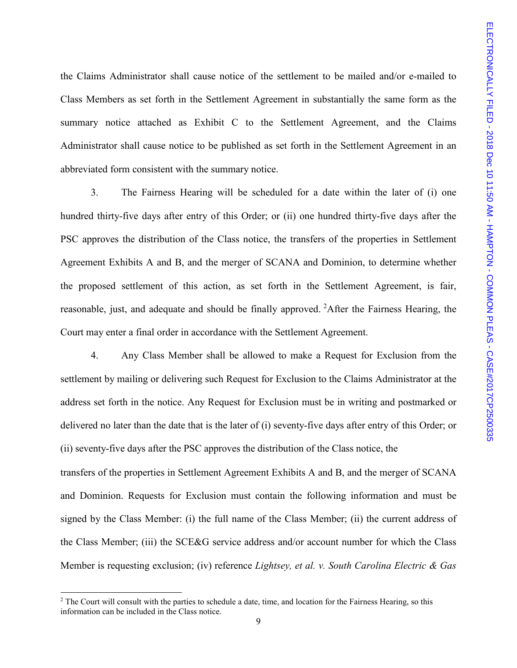the Claims Administrator shall cause notice of the settlement to be mailed and/or e-mailed to Class Members as set forth in the Settlement Agreement in substantially the same form as the summary notice attached as Exhibit C to the Settlement Agreement, and the Claims Administrator shall cause notice to be published as set forth in the Settlement Agreement in an abbreviated form consistent with the summary notice.

 3. The Fairness Hearing will be scheduled for a date within the later of (i) one hundred thirty-five days after entry of this Order; or (ii) one hundred thirty-five days after the PSC approves the distribution of the Class notice, the transfers of the properties in Settlement Agreement Exhibits A and B, and the merger of SCANA and Dominion, to determine whether the proposed settlement of this action, as set forth in the Settlement Agreement, is fair, reasonable, just, and adequate and should be finally approved. <sup>2</sup>After the Fairness Hearing, the Court may enter a final order in accordance with the Settlement Agreement.

4. Any Class Member shall be allowed to make a Request for Exclusion from the settlement by mailing or delivering such Request for Exclusion to the Claims Administrator at the address set forth in the notice. Any Request for Exclusion must be in writing and postmarked or delivered no later than the date that is the later of (i) seventy-five days after entry of this Order; or (ii) seventy-five days after the PSC approves the distribution of the Class notice, the

transfers of the properties in Settlement Agreement Exhibits A and B, and the merger of SCANA and Dominion. Requests for Exclusion must contain the following information and must be signed by the Class Member: (i) the full name of the Class Member; (ii) the current address of the Class Member; (iii) the SCE&G service address and/or account number for which the Class Member is requesting exclusion; (iv) reference *Lightsey, et al. v. South Carolina Electric & Gas* 

 $\overline{a}$ 

<sup>&</sup>lt;sup>2</sup> The Court will consult with the parties to schedule a date, time, and location for the Fairness Hearing, so this information can be included in the Class notice.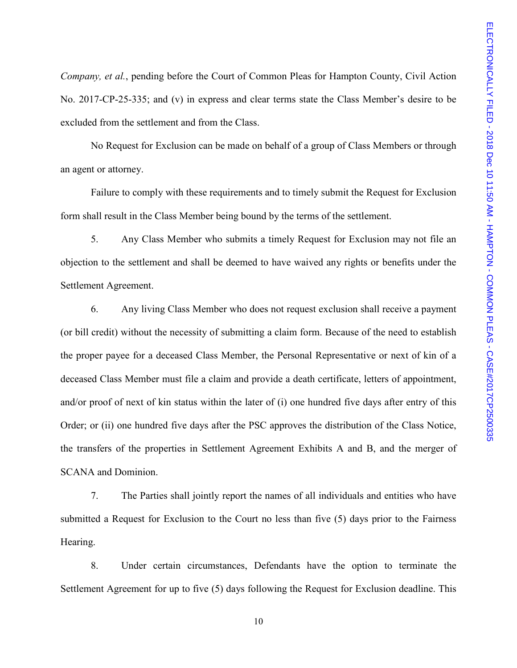*Company, et al.*, pending before the Court of Common Pleas for Hampton County, Civil Action No. 2017-CP-25-335; and (v) in express and clear terms state the Class Member's desire to be excluded from the settlement and from the Class.

No Request for Exclusion can be made on behalf of a group of Class Members or through an agent or attorney.

Failure to comply with these requirements and to timely submit the Request for Exclusion form shall result in the Class Member being bound by the terms of the settlement.

 5. Any Class Member who submits a timely Request for Exclusion may not file an objection to the settlement and shall be deemed to have waived any rights or benefits under the Settlement Agreement.

6. Any living Class Member who does not request exclusion shall receive a payment (or bill credit) without the necessity of submitting a claim form. Because of the need to establish the proper payee for a deceased Class Member, the Personal Representative or next of kin of a deceased Class Member must file a claim and provide a death certificate, letters of appointment, and/or proof of next of kin status within the later of (i) one hundred five days after entry of this Order; or (ii) one hundred five days after the PSC approves the distribution of the Class Notice, the transfers of the properties in Settlement Agreement Exhibits A and B, and the merger of SCANA and Dominion.

 7. The Parties shall jointly report the names of all individuals and entities who have submitted a Request for Exclusion to the Court no less than five (5) days prior to the Fairness Hearing.

8. Under certain circumstances, Defendants have the option to terminate the Settlement Agreement for up to five (5) days following the Request for Exclusion deadline. This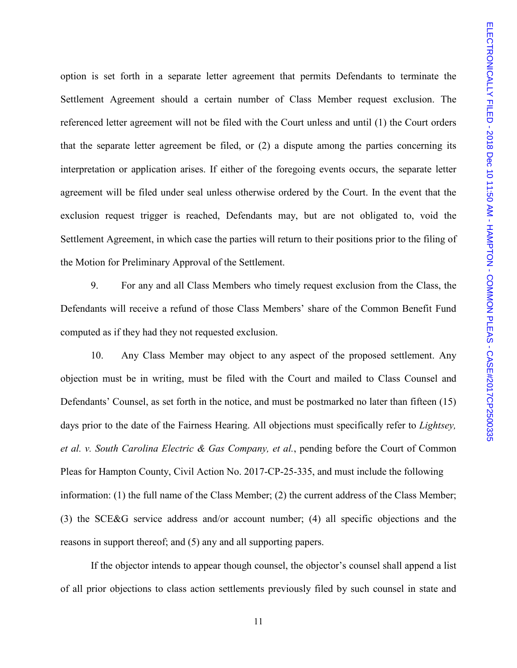option is set forth in a separate letter agreement that permits Defendants to terminate the Settlement Agreement should a certain number of Class Member request exclusion. The referenced letter agreement will not be filed with the Court unless and until (1) the Court orders that the separate letter agreement be filed, or (2) a dispute among the parties concerning its interpretation or application arises. If either of the foregoing events occurs, the separate letter agreement will be filed under seal unless otherwise ordered by the Court. In the event that the exclusion request trigger is reached, Defendants may, but are not obligated to, void the Settlement Agreement, in which case the parties will return to their positions prior to the filing of the Motion for Preliminary Approval of the Settlement.

9. For any and all Class Members who timely request exclusion from the Class, the Defendants will receive a refund of those Class Members' share of the Common Benefit Fund computed as if they had they not requested exclusion.

10. Any Class Member may object to any aspect of the proposed settlement. Any objection must be in writing, must be filed with the Court and mailed to Class Counsel and Defendants' Counsel, as set forth in the notice, and must be postmarked no later than fifteen (15) days prior to the date of the Fairness Hearing. All objections must specifically refer to *Lightsey, et al. v. South Carolina Electric & Gas Company, et al.*, pending before the Court of Common Pleas for Hampton County, Civil Action No. 2017-CP-25-335, and must include the following information: (1) the full name of the Class Member; (2) the current address of the Class Member; (3) the SCE&G service address and/or account number; (4) all specific objections and the reasons in support thereof; and (5) any and all supporting papers.

If the objector intends to appear though counsel, the objector's counsel shall append a list of all prior objections to class action settlements previously filed by such counsel in state and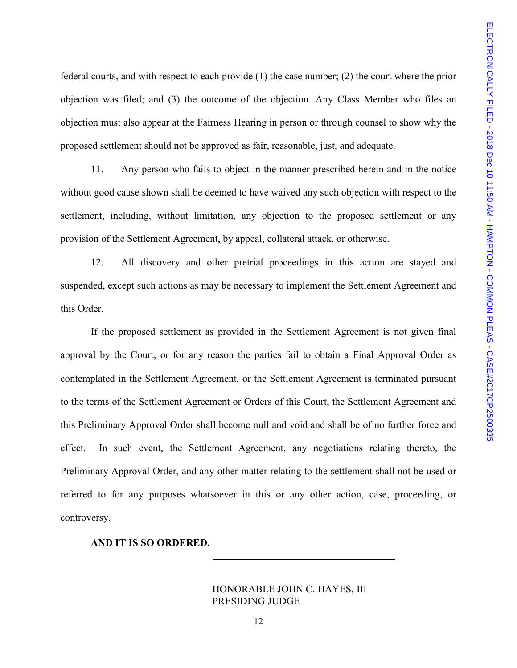federal courts, and with respect to each provide (1) the case number; (2) the court where the prior objection was filed; and (3) the outcome of the objection. Any Class Member who files an objection must also appear at the Fairness Hearing in person or through counsel to show why the proposed settlement should not be approved as fair, reasonable, just, and adequate.

 11. Any person who fails to object in the manner prescribed herein and in the notice without good cause shown shall be deemed to have waived any such objection with respect to the settlement, including, without limitation, any objection to the proposed settlement or any provision of the Settlement Agreement, by appeal, collateral attack, or otherwise.

 12. All discovery and other pretrial proceedings in this action are stayed and suspended, except such actions as may be necessary to implement the Settlement Agreement and this Order.

 If the proposed settlement as provided in the Settlement Agreement is not given final approval by the Court, or for any reason the parties fail to obtain a Final Approval Order as contemplated in the Settlement Agreement, or the Settlement Agreement is terminated pursuant to the terms of the Settlement Agreement or Orders of this Court, the Settlement Agreement and this Preliminary Approval Order shall become null and void and shall be of no further force and effect. In such event, the Settlement Agreement, any negotiations relating thereto, the Preliminary Approval Order, and any other matter relating to the settlement shall not be used or referred to for any purposes whatsoever in this or any other action, case, proceeding, or controversy.

**AND IT IS SO ORDERED.**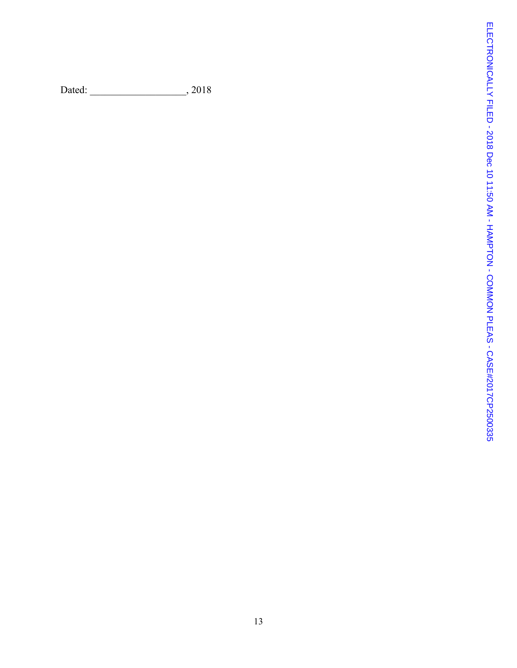Dated: \_\_\_\_\_\_\_\_\_\_\_\_\_\_\_\_\_\_\_, 2018